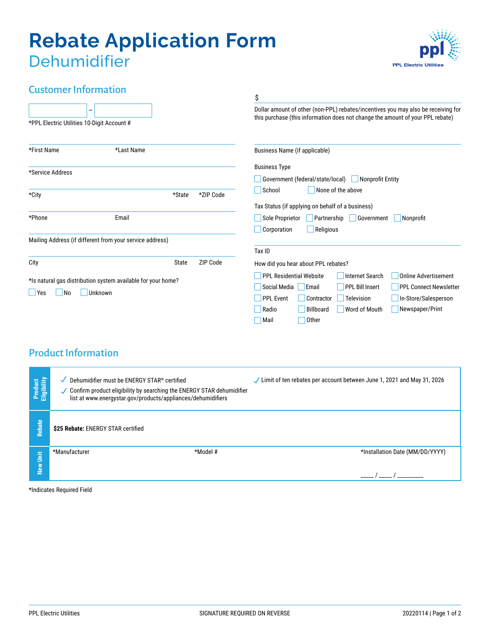# **Rebate Application Form Dehumidifier**



# Customer Information

|                                                                                                  |                                                          |                          | \$                                                                                                                                                                                                                                                                                                                             |
|--------------------------------------------------------------------------------------------------|----------------------------------------------------------|--------------------------|--------------------------------------------------------------------------------------------------------------------------------------------------------------------------------------------------------------------------------------------------------------------------------------------------------------------------------|
| *PPL Electric Utilities 10-Digit Account #                                                       |                                                          |                          | Dollar amount of other (non-PPL) rebates/incentives you may also be receiving for<br>this purchase (this information does not change the amount of your PPL rebate)                                                                                                                                                            |
| *First Name                                                                                      | *Last Name                                               |                          | Business Name (if applicable)                                                                                                                                                                                                                                                                                                  |
| *Service Address                                                                                 |                                                          |                          | <b>Business Type</b><br>Nonprofit Entity<br>Government (federal/state/local)                                                                                                                                                                                                                                                   |
| *City                                                                                            |                                                          | *ZIP Code<br>*State      | School<br>None of the above                                                                                                                                                                                                                                                                                                    |
| *Phone                                                                                           | Email                                                    |                          | Tax Status (if applying on behalf of a business)<br>Government<br>Sole Proprietor<br>Partnership<br>Nonprofit<br>Corporation<br>Religious                                                                                                                                                                                      |
|                                                                                                  | Mailing Address (if different from your service address) |                          | Tax ID                                                                                                                                                                                                                                                                                                                         |
| City                                                                                             |                                                          | ZIP Code<br><b>State</b> | How did you hear about PPL rebates?                                                                                                                                                                                                                                                                                            |
| *Is natural gas distribution system available for your home?<br>Unknown<br>Yes<br>N <sub>o</sub> |                                                          |                          | <b>PPL Residential Website</b><br><b>Online Advertisement</b><br><b>Internet Search</b><br><b>PPL Bill Insert</b><br>Social Media<br>Email<br><b>PPL Connect Newsletter</b><br><b>PPL Event</b><br>Contractor<br>Television<br>In-Store/Salesperson<br>Newspaper/Print<br>Billboard<br>Radio<br>Word of Mouth<br>Other<br>Mail |

# Product Information

| Product<br>Eligibility | Dehumidifier must be ENERGY STAR® certified<br>Confirm product eligibility by searching the ENERGY STAR dehumidifier<br>J<br>list at www.energystar.gov/products/appliances/dehumidifiers | $\checkmark$ Limit of ten rebates per account between June 1, 2021 and May 31, 2026 |
|------------------------|-------------------------------------------------------------------------------------------------------------------------------------------------------------------------------------------|-------------------------------------------------------------------------------------|
| Rebate                 | \$25 Rebate: ENERGY STAR certified                                                                                                                                                        |                                                                                     |
| Š<br>≥<br>Ne           | *Model #<br>*Manufacturer                                                                                                                                                                 | *Installation Date (MM/DD/YYYY)                                                     |

\*Indicates Required Field